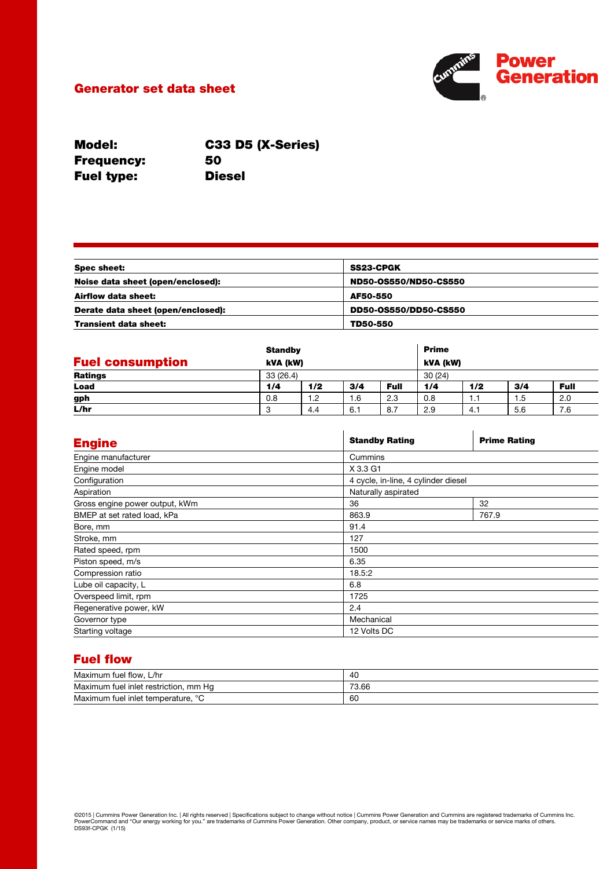# Generator set data sheet



Model: Frequency: Fuel type:

C33 D5 (X-Series) 50 Diesel

| Spec sheet:                        | <b>SS23-CPGK</b>      |  |
|------------------------------------|-----------------------|--|
| Noise data sheet (open/enclosed):  | ND50-0S550/ND50-CS550 |  |
| Airflow data sheet:                | AF50-550              |  |
| Derate data sheet (open/enclosed): | DD50-0S550/DD50-CS550 |  |
| <b>Transient data sheet:</b>       | TD50-550              |  |

|                         |     | <b>Standby</b><br>kVA (kW) |     |             | <b>Prime</b> |     |     |             |
|-------------------------|-----|----------------------------|-----|-------------|--------------|-----|-----|-------------|
| <b>Fuel consumption</b> |     |                            |     |             | kVA (kW)     |     |     |             |
| Ratings                 |     | 33(26.4)                   |     | 30(24)      |              |     |     |             |
| Load                    | 1/4 | 1/2                        | 3/4 | <b>Full</b> | 1/4          | 1/2 | 3/4 | <b>Full</b> |
| gph                     | 0.8 | 1.2                        | 1.6 | 2.3         | 0.8          | 1.1 | 1.5 | 2.0         |
| L/hr                    |     | 4.4                        | 6.1 | 8.7         | 2.9          | 4.1 | 5.6 | 7.6         |

| <b>Engine</b>                  | <b>Standby Rating</b>               | <b>Prime Rating</b> |  |  |
|--------------------------------|-------------------------------------|---------------------|--|--|
| Engine manufacturer            | Cummins                             |                     |  |  |
| Engine model                   | X 3.3 G1                            |                     |  |  |
| Configuration                  | 4 cycle, in-line, 4 cylinder diesel |                     |  |  |
| Aspiration                     | Naturally aspirated                 |                     |  |  |
| Gross engine power output, kWm | 36                                  | 32                  |  |  |
| BMEP at set rated load, kPa    | 863.9                               | 767.9               |  |  |
| Bore, mm                       | 91.4                                |                     |  |  |
| Stroke, mm                     | 127                                 |                     |  |  |
| Rated speed, rpm               | 1500                                |                     |  |  |
| Piston speed, m/s              | 6.35                                |                     |  |  |
| Compression ratio              | 18.5:2                              |                     |  |  |
| Lube oil capacity, L           | 6.8                                 |                     |  |  |
| Overspeed limit, rpm           | 1725                                |                     |  |  |
| Regenerative power, kW         | 2.4                                 |                     |  |  |
| Governor type                  | Mechanical                          |                     |  |  |
| Starting voltage               | 12 Volts DC                         |                     |  |  |

# Fuel flow

| Maximum fuel flow.<br>L/hr                      | 40    |
|-------------------------------------------------|-------|
| Maximum<br>ı fuel inlet restriction. mm<br>Ha   | 73.66 |
| Maximum fuel inlet temperature,<br>$\circ$<br>◡ | 60    |

©2015 | Cummins Power Generation Inc. | All rights reserved | Specifications subject to change without notice | Cummins Power Generation and Cummins are registered trademarks of Cummins Inc.<br>PowerCommand and "Our energy wo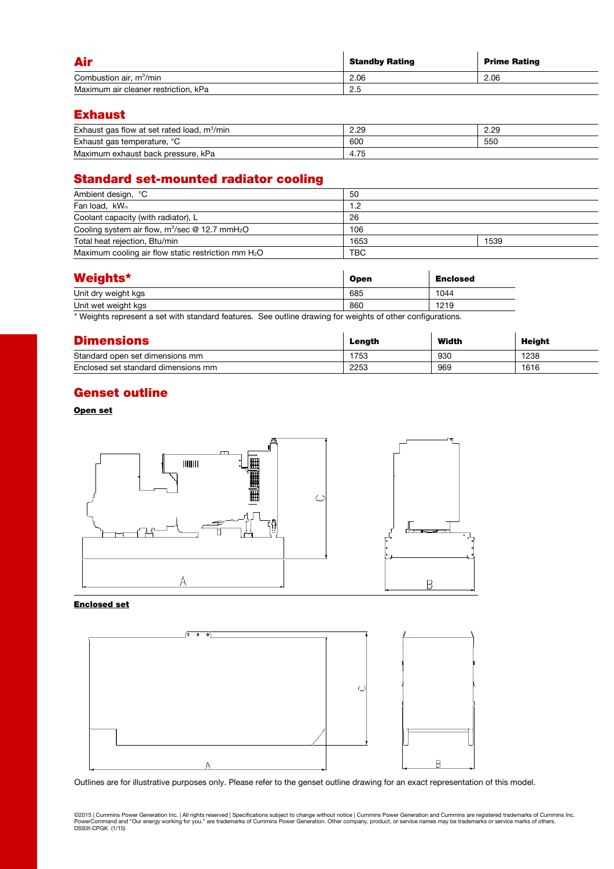| Air                                  | <b>Standby Rating</b> | <b>Prime Rating</b> |
|--------------------------------------|-----------------------|---------------------|
| Combustion air, m <sup>3</sup> /min  | 2.06                  | 2.06                |
| Maximum air cleaner restriction, kPa | 2.5                   |                     |

# Exhaust

| Exhaust gas flow at set rated load,<br>m <sup>3</sup> /min | 2.29 | 2.29 |
|------------------------------------------------------------|------|------|
| Exhaust gas temperature, °C                                | 600  | 550  |
| Maximum exhaust back pressure, kPa                         | 4.75 |      |

# Standard set-mounted radiator cooling

| Ambient design, °C                                            | 50         |      |  |  |
|---------------------------------------------------------------|------------|------|--|--|
| Fan load, kW <sub>m</sub>                                     | 1.2        |      |  |  |
| Coolant capacity (with radiator), L                           | 26         |      |  |  |
| Cooling system air flow, $m^3$ /sec @ 12.7 mmH <sub>2</sub> O | 106        |      |  |  |
| Total heat rejection, Btu/min                                 | 1653       | 1539 |  |  |
| Maximum cooling air flow static restriction mm $H_2O$         | <b>TBC</b> |      |  |  |

| <b>Weights*</b>     | <b>Open</b> | <b>Enclosed</b> |
|---------------------|-------------|-----------------|
| Unit dry weight kgs | 685         | 1044            |
| Unit wet weight kgs | 860         | 1219            |

\* Weights represent a set with standard features. See outline drawing for weights of other configurations.

| <b>Dimensions</b>                   | Length | Width | Height |
|-------------------------------------|--------|-------|--------|
| Standard open set dimensions mm     | 1753   | 930   | 1238   |
| Enclosed set standard dimensions mm | 2253   | 969   | 1616   |

# Genset outline

## Open set



### Enclosed set



Outlines are for illustrative purposes only. Please refer to the genset outline drawing for an exact representation of this model.

©2015 | Cummins Power Generation Inc. | All rights reserved | Specifications subject to change without notice | Cummins Power Generation and Cummins are registered trademarks of Cummins Inc.<br>PowerCommand and "Our energy wo